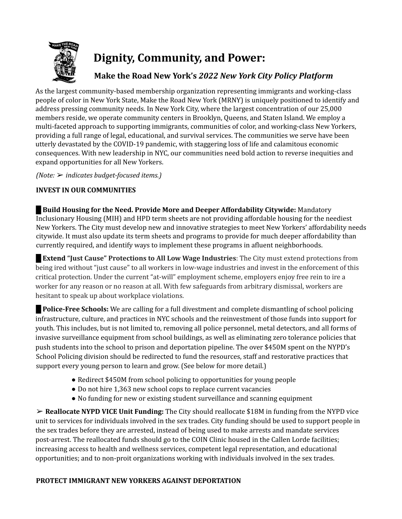

# **Dignity, Community, and Power:**

# **Make the Road New York's** *2022 New York City Policy Platform*

As the largest community-based membership organization representing immigrants and working-class people of color in New York State, Make the Road New York (MRNY) is uniquely positioned to identify and address pressing community needs. In New York City, where the largest concentration of our 25,000 members reside, we operate community centers in Brooklyn, Queens, and Staten Island. We employ a multi-faceted approach to supporting immigrants, communities of color, and working-class New Yorkers, providing a full range of legal, educational, and survival services. The communities we serve have been utterly devastated by the COVID-19 pandemic, with staggering loss of life and calamitous economic consequences. With new leadership in NYC, our communities need bold action to reverse inequities and expand opportunities for all New Yorkers.

*(Note:* ➢ *indicates budget-focused items.)*

# **INVEST IN OUR COMMUNITIES**

█ **Build Housing for the Need. Provide More and Deeper Affordability Citywide:** Mandatory Inclusionary Housing (MIH) and HPD term sheets are not providing affordable housing for the neediest New Yorkers. The City must develop new and innovative strategies to meet New Yorkers' affordability needs citywide. It must also update its term sheets and programs to provide for much deeper affordability than currently required, and identify ways to implement these programs in afluent neighborhoods.

█ **Extend "Just Cause" Protections to All Low Wage Industries**: The City must extend protections from being ired without "just cause" to all workers in low-wage industries and invest in the enforcement of this critical protection. Under the current "at-will" employment scheme, employers enjoy free rein to ire a worker for any reason or no reason at all. With few safeguards from arbitrary dismissal, workers are hesitant to speak up about workplace violations.

█ **Police-Free Schools:** We are calling for a full divestment and complete dismantling of school policing infrastructure, culture, and practices in NYC schools and the reinvestment of those funds into support for youth. This includes, but is not limited to, removing all police personnel, metal detectors, and all forms of invasive surveillance equipment from school buildings, as well as eliminating zero tolerance policies that push students into the school to prison and deportation pipeline. The over \$450M spent on the NYPD's School Policing division should be redirected to fund the resources, staff and restorative practices that support every young person to learn and grow. (See below for more detail.)

- Redirect \$450M from school policing to opportunities for young people
- Do not hire 1,363 new school cops to replace current vacancies
- No funding for new or existing student surveillance and scanning equipment

➢ **Reallocate NYPD VICE Unit Funding:** The City should reallocate \$18M in funding from the NYPD vice unit to services for individuals involved in the sex trades. City funding should be used to support people in the sex trades before they are arrested, instead of being used to make arrests and mandate services post-arrest. The reallocated funds should go to the COIN Clinic housed in the Callen Lorde facilities; increasing access to health and wellness services, competent legal representation, and educational opportunities; and to non-proit organizations working with individuals involved in the sex trades.

# **PROTECT IMMIGRANT NEW YORKERS AGAINST DEPORTATION**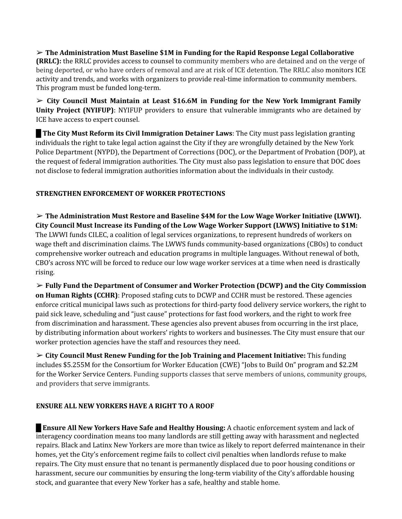➢ **The Administration Must Baseline \$1M in Funding for the Rapid Response Legal Collaborative (RRLC):** the RRLC provides access to counsel to community members who are detained and on the verge of being deported, or who have orders of removal and are at risk of ICE detention. The RRLC also monitors ICE activity and trends, and works with organizers to provide real-time information to community members. This program must be funded long-term.

➢ **City Council Must Maintain at Least \$16.6M in Funding for the New York Immigrant Family Unity Project (NYIFUP)**: NYIFUP providers to ensure that vulnerable immigrants who are detained by ICE have access to expert counsel.

█ **The City Must Reform its Civil Immigration Detainer Laws**: The City must pass legislation granting individuals the right to take legal action against the City if they are wrongfully detained by the New York Police Department (NYPD), the Department of Corrections (DOC), or the Department of Probation (DOP), at the request of federal immigration authorities. The City must also pass legislation to ensure that DOC does not disclose to federal immigration authorities information about the individuals in their custody.

# **STRENGTHEN ENFORCEMENT OF WORKER PROTECTIONS**

➢ **The Administration Must Restore and Baseline \$4M for the Low Wage Worker Initiative (LWWI). City Council Must Increase its Funding of the Low Wage Worker Support (LWWS) Initiative to \$1M:** The LWWI funds CILEC, a coalition of legal services organizations, to represent hundreds of workers on wage theft and discrimination claims. The LWWS funds community-based organizations (CBOs) to conduct comprehensive worker outreach and education programs in multiple languages. Without renewal of both, CBO's across NYC will be forced to reduce our low wage worker services at a time when need is drastically rising.

➢ **Fully Fund the Department of Consumer and Worker Protection (DCWP) and the City Commission on Human Rights (CCHR)**: Proposed stafing cuts to DCWP and CCHR must be restored. These agencies enforce critical municipal laws such as protections for third-party food delivery service workers, the right to paid sick leave, scheduling and "just cause" protections for fast food workers, and the right to work free from discrimination and harassment. These agencies also prevent abuses from occurring in the irst place, by distributing information about workers' rights to workers and businesses. The City must ensure that our worker protection agencies have the staff and resources they need.

➢ **City Council Must Renew Funding for the Job Training and Placement Initiative:** This funding includes \$5.255M for the Consortium for Worker Education (CWE) "Jobs to Build On" program and \$2.2M for the Worker Service Centers. Funding supports classes that serve members of unions, community groups, and providers that serve immigrants.

# **ENSURE ALL NEW YORKERS HAVE A RIGHT TO A ROOF**

█ **Ensure All New Yorkers Have Safe and Healthy Housing:** A chaotic enforcement system and lack of interagency coordination means too many landlords are still getting away with harassment and neglected repairs. Black and Latinx New Yorkers are more than twice as likely to report deferred maintenance in their homes, yet the City's enforcement regime fails to collect civil penalties when landlords refuse to make repairs. The City must ensure that no tenant is permanently displaced due to poor housing conditions or harassment, secure our communities by ensuring the long-term viability of the City's affordable housing stock, and guarantee that every New Yorker has a safe, healthy and stable home.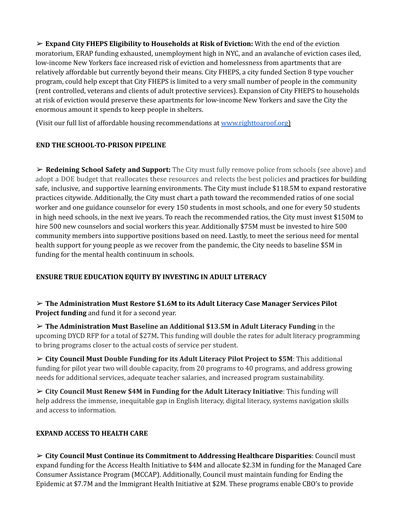➢ **Expand City FHEPS Eligibility to Households at Risk of Eviction:** With the end of the eviction moratorium, ERAP funding exhausted, unemployment high in NYC, and an avalanche of eviction cases iled, low-income New Yorkers face increased risk of eviction and homelessness from apartments that are relatively affordable but currently beyond their means. City FHEPS, a city funded Section 8 type voucher program, could help except that City FHEPS is limited to a very small number of people in the community (rent controlled, veterans and clients of adult protective services). Expansion of City FHEPS to households at risk of eviction would preserve these apartments for low-income New Yorkers and save the City the enormous amount it spends to keep people in shelters.

(Visit our full list of affordable housing recommendations at www.righttoaroof.org)

#### **END THE SCHOOL-TO-PRISON PIPELINE**

➢ **Redeining School Safety and Support:** The City must fully remove police from schools (see above) and adopt a DOE budget that reallocates these resources and relects the best policies and practices for building safe, inclusive, and supportive learning environments. The City must include \$118.5M to expand restorative practices citywide. Additionally, the City must chart a path toward the recommended ratios of one social worker and one guidance counselor for every 150 students in most schools, and one for every 50 students in high need schools, in the next ive years. To reach the recommended ratios, the City must invest \$150M to hire 500 new counselors and social workers this year. Additionally \$75M must be invested to hire 500 community members into supportive positions based on need. Lastly, to meet the serious need for mental health support for young people as we recover from the pandemic, the City needs to baseline \$5M in funding for the mental health continuum in schools.

#### **ENSURE TRUE EDUCATION EQUITY BY INVESTING IN ADULT LITERACY**

➢ **The Administration Must Restore \$1.6M to its Adult Literacy Case Manager Services Pilot Project funding** and fund it for a second year.

➢ **The Administration Must Baseline an Additional \$13.5M in Adult Literacy Funding** in the upcoming DYCD RFP for a total of \$27M**.** This funding will double the rates for adult literacy programming to bring programs closer to the actual costs of service per student.

➢ **City Council Must Double Funding for its Adult Literacy Pilot Project to \$5M**: This additional funding for pilot year two will double capacity, from 20 programs to 40 programs, and address growing needs for additional services, adequate teacher salaries, and increased program sustainability.

➢ **City Council Must Renew \$4M in Funding for the Adult Literacy Initiative**: This funding will help address the immense, inequitable gap in English literacy, digital literacy, systems navigation skills and access to information.

# **EXPAND ACCESS TO HEALTH CARE**

➢ **City Council Must Continue its Commitment to Addressing Healthcare Disparities**: Council must expand funding for the Access Health Initiative to \$4M and allocate \$2.3M in funding for the Managed Care Consumer Assistance Program (MCCAP). Additionally, Council must maintain funding for Ending the Epidemic at \$7.7M and the Immigrant Health Initiative at \$2M. These programs enable CBO's to provide